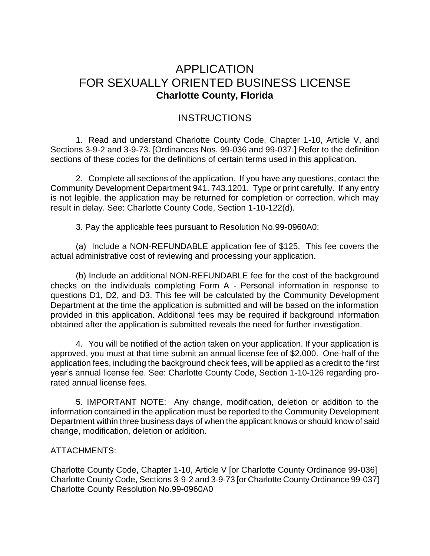# APPLICATION FOR SEXUALLY ORIENTED BUSINESS LICENSE **Charlotte County, Florida**

## **INSTRUCTIONS**

1. Read and understand Charlotte County Code, Chapter 1-10, Article V, and Sections 3-9-2 and 3-9-73. [Ordinances Nos. 99-036 and 99-037.] Refer to the definition sections of these codes for the definitions of certain terms used in this application.

2. Complete all sections of the application. If you have any questions, contact the Community Development Department 941. 743.1201. Type or print carefully. If any entry is not legible, the application may be returned for completion or correction, which may result in delay. See: Charlotte County Code, Section 1-10-122(d).

3. Pay the applicable fees pursuant to Resolution No.99-0960A0:

(a) Include a NON-REFUNDABLE application fee of \$125. This fee covers the actual administrative cost of reviewing and processing your application.

(b) Include an additional NON-REFUNDABLE fee for the cost of the background checks on the individuals completing Form A - Personal information in response to questions D1, D2, and D3. This fee will be calculated by the Community Development Department at the time the application is submitted and will be based on the information provided in this application. Additional fees may be required if background information obtained after the application is submitted reveals the need for further investigation.

4. You will be notified of the action taken on your application. If your application is approved, you must at that time submit an annual license fee of \$2,000. One-half of the application fees, including the background check fees, will be applied as a credit to the first year's annual license fee. See: Charlotte County Code, Section 1-10-126 regarding prorated annual license fees.

5. IMPORTANT NOTE: Any change, modification, deletion or addition to the information contained in the application must be reported to the Community Development Department within three business days of when the applicant knows or should know of said change, modification, deletion or addition.

#### ATTACHMENTS:

Charlotte County Code, Chapter 1-10, Article V [or Charlotte County Ordinance 99-036] Charlotte County Code, Sections 3-9-2 and 3-9-73 [or Charlotte County Ordinance 99-037] Charlotte County Resolution No.99-0960A0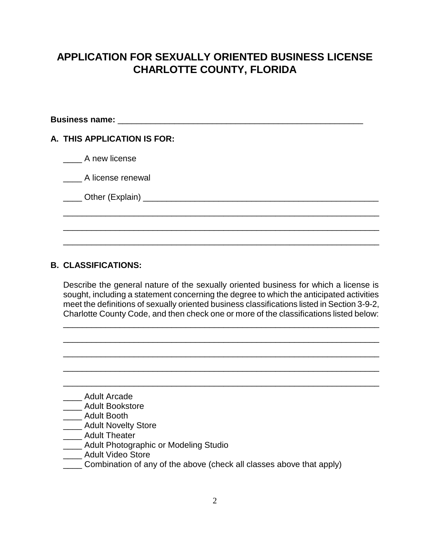## **APPLICATION FOR SEXUALLY ORIENTED BUSINESS LICENSE CHARLOTTE COUNTY, FLORIDA**

|  | A. THIS APPLICATION IS FOR: |  |
|--|-----------------------------|--|
|  | A new license               |  |
|  | A license renewal           |  |
|  |                             |  |
|  |                             |  |
|  |                             |  |

#### **B. CLASSIFICATIONS:**

Describe the general nature of the sexually oriented business for which a license is sought, including a statement concerning the degree to which the anticipated activities meet the definitions of sexually oriented business classifications listed in Section 3-9-2, Charlotte County Code, and then check one or more of the classifications listed below:

\_\_\_\_\_\_\_\_\_\_\_\_\_\_\_\_\_\_\_\_\_\_\_\_\_\_\_\_\_\_\_\_\_\_\_\_\_\_\_\_\_\_\_\_\_\_\_\_\_\_\_\_\_\_\_\_\_\_\_\_\_\_\_\_\_\_\_

\_\_\_\_\_\_\_\_\_\_\_\_\_\_\_\_\_\_\_\_\_\_\_\_\_\_\_\_\_\_\_\_\_\_\_\_\_\_\_\_\_\_\_\_\_\_\_\_\_\_\_\_\_\_\_\_\_\_\_\_\_\_\_\_\_\_\_

\_\_\_\_\_\_\_\_\_\_\_\_\_\_\_\_\_\_\_\_\_\_\_\_\_\_\_\_\_\_\_\_\_\_\_\_\_\_\_\_\_\_\_\_\_\_\_\_\_\_\_\_\_\_\_\_\_\_\_\_\_\_\_\_\_\_\_

\_\_\_\_\_\_\_\_\_\_\_\_\_\_\_\_\_\_\_\_\_\_\_\_\_\_\_\_\_\_\_\_\_\_\_\_\_\_\_\_\_\_\_\_\_\_\_\_\_\_\_\_\_\_\_\_\_\_\_\_\_\_\_\_\_\_\_

\_\_\_\_\_\_\_\_\_\_\_\_\_\_\_\_\_\_\_\_\_\_\_\_\_\_\_\_\_\_\_\_\_\_\_\_\_\_\_\_\_\_\_\_\_\_\_\_\_\_\_\_\_\_\_\_\_\_\_\_\_\_\_\_\_\_\_

- \_\_\_\_ Adult Arcade
- \_\_\_\_ Adult Bookstore
- \_\_\_\_ Adult Booth
- **\_\_\_\_ Adult Novelty Store**
- \_\_\_\_ Adult Theater
- **\_\_\_\_ Adult Photographic or Modeling Studio**
- \_\_\_\_ Adult Video Store
- \_\_\_\_ Combination of any of the above (check all classes above that apply)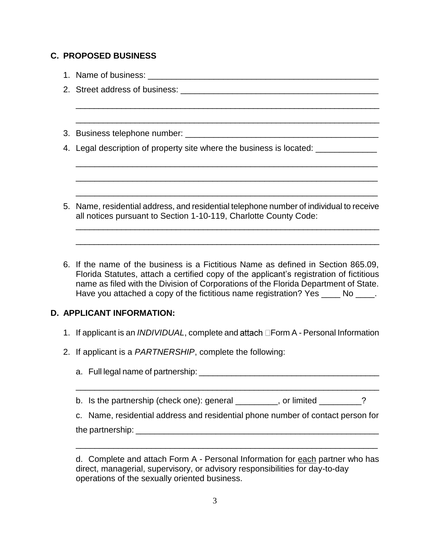#### **C. PROPOSED BUSINESS**

| 4. Legal description of property site where the business is located:                                                                                        |  |
|-------------------------------------------------------------------------------------------------------------------------------------------------------------|--|
|                                                                                                                                                             |  |
|                                                                                                                                                             |  |
|                                                                                                                                                             |  |
| 5. Name, residential address, and residential telephone number of individual to receive<br>all notices pursuant to Section 1-10-119, Charlotte County Code: |  |
|                                                                                                                                                             |  |

6. If the name of the business is a Fictitious Name as defined in Section 865.09, Florida Statutes, attach a certified copy of the applicant's registration of fictitious name as filed with the Division of Corporations of the Florida Department of State. Have you attached a copy of the fictitious name registration? Yes No  $\blacksquare$ .

### **D. APPLICANT INFORMATION:**

- 1. If applicant is an *INDIVIDUAL*, complete and attach **Form A** Personal Information
- 2. If applicant is a *PARTNERSHIP*, complete the following:

a. Full legal name of partnership:  $\blacksquare$ 

\_\_\_\_\_\_\_\_\_\_\_\_\_\_\_\_\_\_\_\_\_\_\_\_\_\_\_\_\_\_\_\_\_\_\_\_\_\_\_\_\_\_\_\_\_\_\_\_\_\_\_\_\_\_\_\_\_\_\_\_\_\_\_\_\_

b. Is the partnership (check one): general \_\_\_\_\_\_\_, or limited \_\_\_\_\_\_?

c. Name, residential address and residential phone number of contact person for the partnership: \_\_\_\_\_\_\_\_\_\_\_\_\_\_\_\_\_\_\_\_\_\_\_\_\_\_\_\_\_\_\_\_\_\_\_\_\_\_\_\_\_\_\_\_\_\_\_\_\_\_\_\_

\_\_\_\_\_\_\_\_\_\_\_\_\_\_\_\_\_\_\_\_\_\_\_\_\_\_\_\_\_\_\_\_\_\_\_\_\_\_\_\_\_\_\_\_\_\_\_\_\_\_\_\_\_\_\_\_\_\_\_\_\_\_\_\_

d. Complete and attach Form A - Personal Information for each partner who has direct, managerial, supervisory, or advisory responsibilities for day-to-day operations of the sexually oriented business.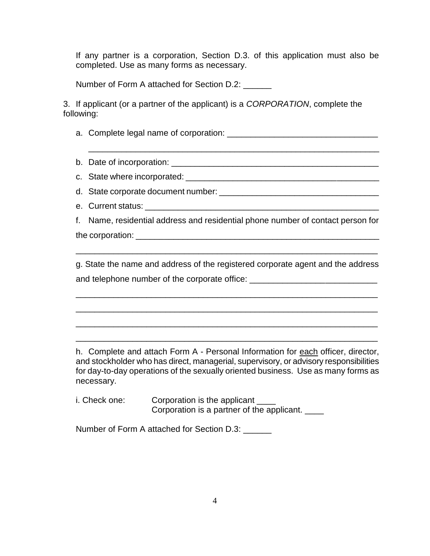If any partner is a corporation, Section D.3. of this application must also be completed. Use as many forms as necessary.

Number of Form A attached for Section D.2:

3. If applicant (or a partner of the applicant) is a *CORPORATION*, complete the following:

a. Complete legal name of corporation: \_\_\_\_\_\_\_\_\_\_\_\_\_\_\_\_\_\_\_\_\_\_\_\_\_\_\_\_\_\_\_\_

b. Date of incorporation: \_\_\_\_\_\_\_\_\_\_\_\_\_\_\_\_\_\_\_\_\_\_\_\_\_\_\_\_\_\_\_\_\_\_\_\_\_\_\_\_\_\_\_\_

\_\_\_\_\_\_\_\_\_\_\_\_\_\_\_\_\_\_\_\_\_\_\_\_\_\_\_\_\_\_\_\_\_\_\_\_\_\_\_\_\_\_\_\_\_\_\_\_\_\_\_\_\_\_\_\_\_\_\_\_\_\_

c. State where incorporated: \_\_\_\_\_\_\_\_\_\_\_\_\_\_\_\_\_\_\_\_\_\_\_\_\_\_\_\_\_\_\_\_\_\_\_\_\_\_\_\_\_

d. State corporate document number: \_\_\_\_\_\_\_\_\_\_\_\_\_\_\_\_\_\_\_\_\_\_\_\_\_\_\_\_\_\_\_\_\_\_

e. Current status: \_\_\_\_\_\_\_\_\_\_\_\_\_\_\_\_\_\_\_\_\_\_\_\_\_\_\_\_\_\_\_\_\_\_\_\_\_\_\_\_\_\_\_\_\_\_\_\_\_\_

f. Name, residential address and residential phone number of contact person for the corporation:  $\blacksquare$ 

g. State the name and address of the registered corporate agent and the address and telephone number of the corporate office:

\_\_\_\_\_\_\_\_\_\_\_\_\_\_\_\_\_\_\_\_\_\_\_\_\_\_\_\_\_\_\_\_\_\_\_\_\_\_\_\_\_\_\_\_\_\_\_\_\_\_\_\_\_\_\_\_\_\_\_\_\_\_\_\_

\_\_\_\_\_\_\_\_\_\_\_\_\_\_\_\_\_\_\_\_\_\_\_\_\_\_\_\_\_\_\_\_\_\_\_\_\_\_\_\_\_\_\_\_\_\_\_\_\_\_\_\_\_\_\_\_\_\_\_\_\_\_\_\_

\_\_\_\_\_\_\_\_\_\_\_\_\_\_\_\_\_\_\_\_\_\_\_\_\_\_\_\_\_\_\_\_\_\_\_\_\_\_\_\_\_\_\_\_\_\_\_\_\_\_\_\_\_\_\_\_\_\_\_\_\_\_\_\_

\_\_\_\_\_\_\_\_\_\_\_\_\_\_\_\_\_\_\_\_\_\_\_\_\_\_\_\_\_\_\_\_\_\_\_\_\_\_\_\_\_\_\_\_\_\_\_\_\_\_\_\_\_\_\_\_\_\_\_\_\_\_\_\_

\_\_\_\_\_\_\_\_\_\_\_\_\_\_\_\_\_\_\_\_\_\_\_\_\_\_\_\_\_\_\_\_\_\_\_\_\_\_\_\_\_\_\_\_\_\_\_\_\_\_\_\_\_\_\_\_\_\_\_\_\_\_\_\_

h. Complete and attach Form A - Personal Information for each officer, director, and stockholder who has direct, managerial, supervisory, or advisory responsibilities for day-to-day operations of the sexually oriented business. Use as many forms as necessary.

i. Check one: Corporation is the applicant Corporation is a partner of the applicant. \_\_\_\_

Number of Form A attached for Section D.3: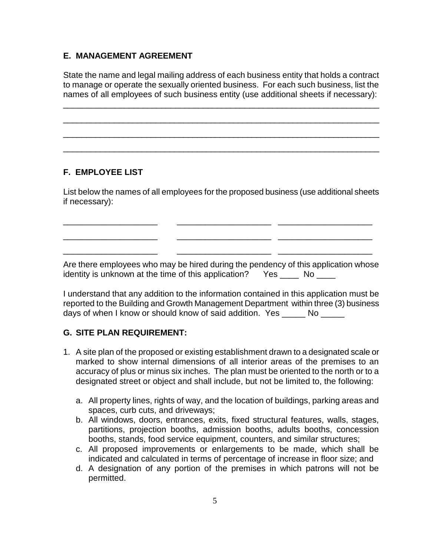#### **E. MANAGEMENT AGREEMENT**

State the name and legal mailing address of each business entity that holds a contract to manage or operate the sexually oriented business. For each such business, list the names of all employees of such business entity (use additional sheets if necessary):

\_\_\_\_\_\_\_\_\_\_\_\_\_\_\_\_\_\_\_\_\_\_\_\_\_\_\_\_\_\_\_\_\_\_\_\_\_\_\_\_\_\_\_\_\_\_\_\_\_\_\_\_\_\_\_\_\_\_\_\_\_\_\_\_\_\_\_\_

\_\_\_\_\_\_\_\_\_\_\_\_\_\_\_\_\_\_\_\_\_\_\_\_\_\_\_\_\_\_\_\_\_\_\_\_\_\_\_\_\_\_\_\_\_\_\_\_\_\_\_\_\_\_\_\_\_\_\_\_\_\_\_\_\_\_\_\_\_

\_\_\_\_\_\_\_\_\_\_\_\_\_\_\_\_\_\_\_\_\_\_\_\_\_\_\_\_\_\_\_\_\_\_\_\_\_\_\_\_\_\_\_\_\_\_\_\_\_\_\_\_\_\_\_\_\_\_\_\_\_\_\_\_\_\_\_\_\_

 $\_$  , and the set of the set of the set of the set of the set of the set of the set of the set of the set of the set of the set of the set of the set of the set of the set of the set of the set of the set of the set of th

### **F. EMPLOYEE LIST**

List below the names of all employees for the proposed business (use additional sheets if necessary):

\_\_\_\_\_\_\_\_\_\_\_\_\_\_\_\_\_\_\_\_ \_\_\_\_\_\_\_\_\_\_\_\_\_\_\_\_\_\_\_\_ \_\_\_\_\_\_\_\_\_\_\_\_\_\_\_\_\_\_\_\_

\_\_\_\_\_\_\_\_\_\_\_\_\_\_\_\_\_\_\_\_ \_\_\_\_\_\_\_\_\_\_\_\_\_\_\_\_\_\_\_\_ \_\_\_\_\_\_\_\_\_\_\_\_\_\_\_\_\_\_\_\_

\_\_\_\_\_\_\_\_\_\_\_\_\_\_\_\_\_\_\_\_ \_\_\_\_\_\_\_\_\_\_\_\_\_\_\_\_\_\_\_\_ \_\_\_\_\_\_\_\_\_\_\_\_\_\_\_\_\_\_\_\_

Are there employees who may be hired during the pendency of this application whose identity is unknown at the time of this application? Yes \_\_\_\_ No \_\_\_\_

I understand that any addition to the information contained in this application must be reported to the Building and Growth Management Department within three (3) business days of when I know or should know of said addition. Yes No

#### **G. SITE PLAN REQUIREMENT:**

- 1. A site plan of the proposed or existing establishment drawn to a designated scale or marked to show internal dimensions of all interior areas of the premises to an accuracy of plus or minus six inches. The plan must be oriented to the north or to a designated street or object and shall include, but not be limited to, the following:
	- a. All property lines, rights of way, and the location of buildings, parking areas and spaces, curb cuts, and driveways;
	- b. All windows, doors, entrances, exits, fixed structural features, walls, stages, partitions, projection booths, admission booths, adults booths, concession booths, stands, food service equipment, counters, and similar structures;
	- c. All proposed improvements or enlargements to be made, which shall be indicated and calculated in terms of percentage of increase in floor size; and
	- d. A designation of any portion of the premises in which patrons will not be permitted.